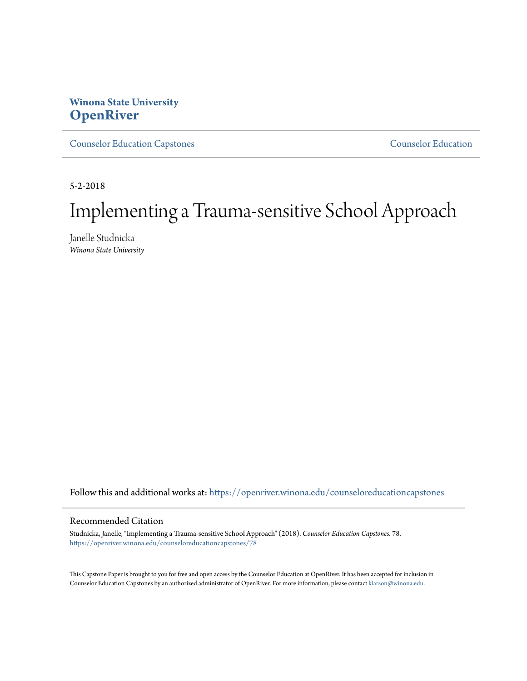# **Winona State University [OpenRiver](https://openriver.winona.edu?utm_source=openriver.winona.edu%2Fcounseloreducationcapstones%2F78&utm_medium=PDF&utm_campaign=PDFCoverPages)**

[Counselor Education Capstones](https://openriver.winona.edu/counseloreducationcapstones?utm_source=openriver.winona.edu%2Fcounseloreducationcapstones%2F78&utm_medium=PDF&utm_campaign=PDFCoverPages) [Counselor Education](https://openriver.winona.edu/counseloreducation?utm_source=openriver.winona.edu%2Fcounseloreducationcapstones%2F78&utm_medium=PDF&utm_campaign=PDFCoverPages)

5-2-2018

# Implementing a Trauma-sensitive School Approach

Janelle Studnicka *Winona State University*

Follow this and additional works at: [https://openriver.winona.edu/counseloreducationcapstones](https://openriver.winona.edu/counseloreducationcapstones?utm_source=openriver.winona.edu%2Fcounseloreducationcapstones%2F78&utm_medium=PDF&utm_campaign=PDFCoverPages)

#### Recommended Citation

Studnicka, Janelle, "Implementing a Trauma-sensitive School Approach" (2018). *Counselor Education Capstones*. 78. [https://openriver.winona.edu/counseloreducationcapstones/78](https://openriver.winona.edu/counseloreducationcapstones/78?utm_source=openriver.winona.edu%2Fcounseloreducationcapstones%2F78&utm_medium=PDF&utm_campaign=PDFCoverPages)

This Capstone Paper is brought to you for free and open access by the Counselor Education at OpenRiver. It has been accepted for inclusion in Counselor Education Capstones by an authorized administrator of OpenRiver. For more information, please contact [klarson@winona.edu](mailto:klarson@winona.edu).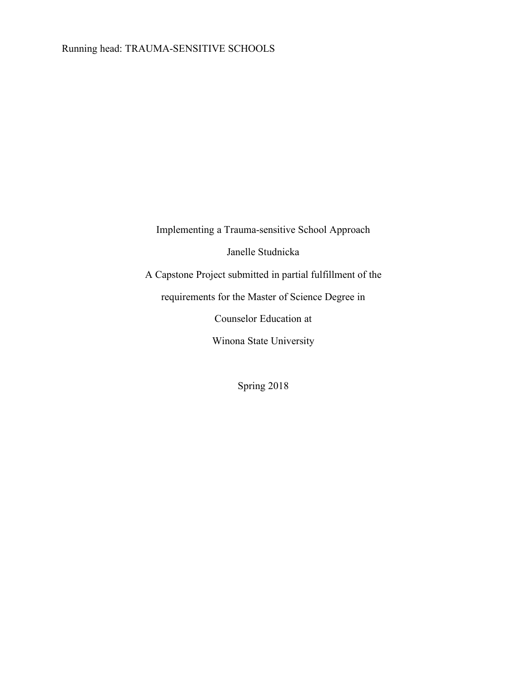Implementing a Trauma-sensitive School Approach Janelle Studnicka A Capstone Project submitted in partial fulfillment of the requirements for the Master of Science Degree in Counselor Education at Winona State University

Spring 2018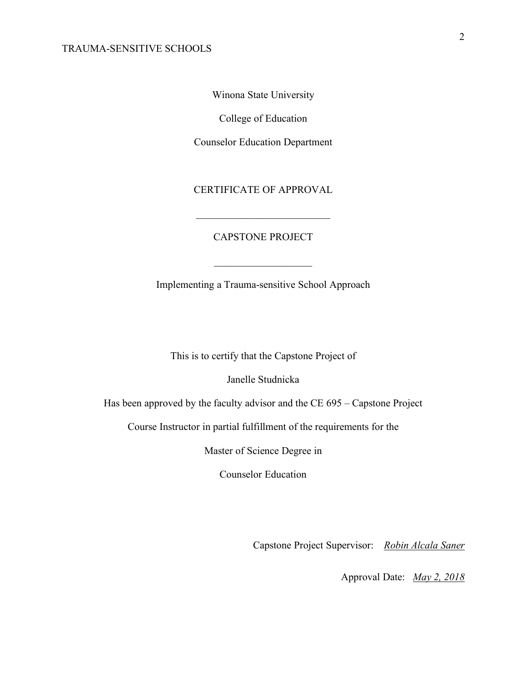Winona State University

College of Education

Counselor Education Department

CERTIFICATE OF APPROVAL

\_\_\_\_\_\_\_\_\_\_\_\_\_\_\_\_\_\_\_\_\_\_\_\_\_\_

## CAPSTONE PROJECT

Implementing a Trauma-sensitive School Approach

 $\mathcal{L}_\text{max}$ 

This is to certify that the Capstone Project of

Janelle Studnicka

Has been approved by the faculty advisor and the CE 695 – Capstone Project

Course Instructor in partial fulfillment of the requirements for the

Master of Science Degree in

Counselor Education

Capstone Project Supervisor: *Robin Alcala Saner*

Approval Date: *May 2, 2018*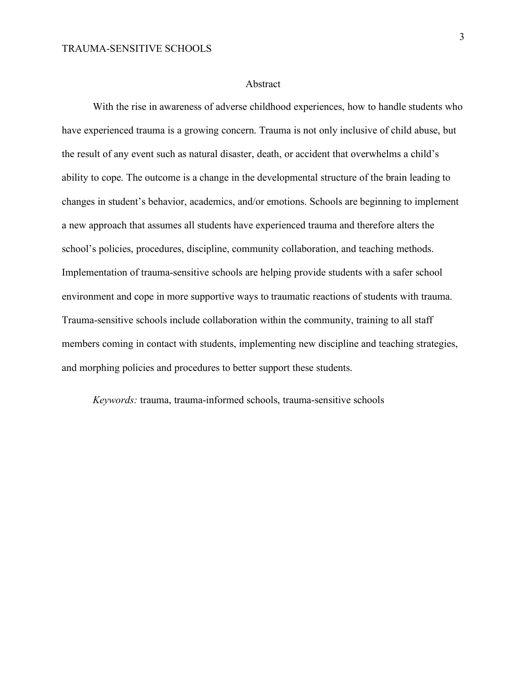#### Abstract

With the rise in awareness of adverse childhood experiences, how to handle students who have experienced trauma is a growing concern. Trauma is not only inclusive of child abuse, but the result of any event such as natural disaster, death, or accident that overwhelms a child's ability to cope. The outcome is a change in the developmental structure of the brain leading to changes in student's behavior, academics, and/or emotions. Schools are beginning to implement a new approach that assumes all students have experienced trauma and therefore alters the school's policies, procedures, discipline, community collaboration, and teaching methods. Implementation of trauma-sensitive schools are helping provide students with a safer school environment and cope in more supportive ways to traumatic reactions of students with trauma. Trauma-sensitive schools include collaboration within the community, training to all staff members coming in contact with students, implementing new discipline and teaching strategies, and morphing policies and procedures to better support these students.

*Keywords:* trauma, trauma-informed schools, trauma-sensitive schools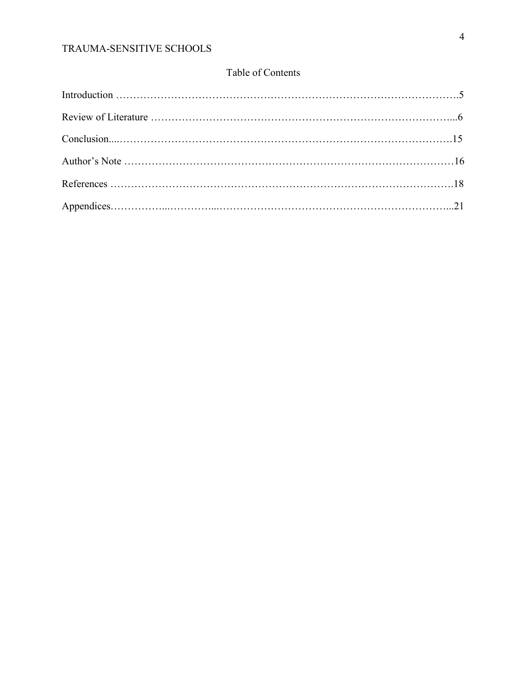# Table of Contents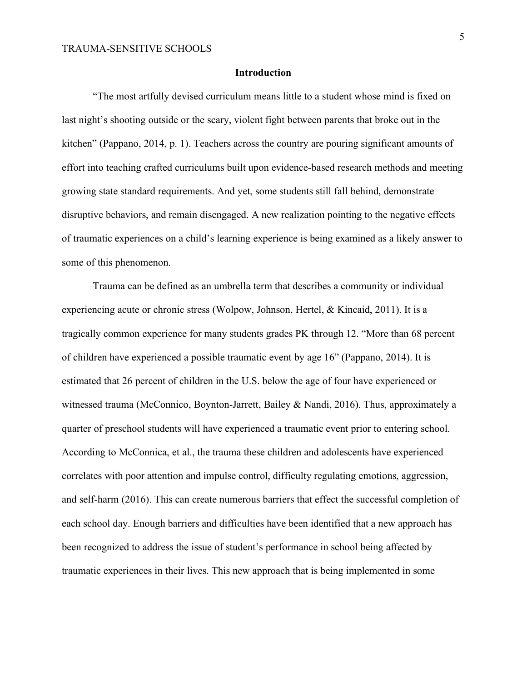#### **Introduction**

"The most artfully devised curriculum means little to a student whose mind is fixed on last night's shooting outside or the scary, violent fight between parents that broke out in the kitchen" (Pappano, 2014, p. 1). Teachers across the country are pouring significant amounts of effort into teaching crafted curriculums built upon evidence-based research methods and meeting growing state standard requirements. And yet, some students still fall behind, demonstrate disruptive behaviors, and remain disengaged. A new realization pointing to the negative effects of traumatic experiences on a child's learning experience is being examined as a likely answer to some of this phenomenon.

Trauma can be defined as an umbrella term that describes a community or individual experiencing acute or chronic stress (Wolpow, Johnson, Hertel, & Kincaid, 2011). It is a tragically common experience for many students grades PK through 12. "More than 68 percent of children have experienced a possible traumatic event by age 16" (Pappano, 2014). It is estimated that 26 percent of children in the U.S. below the age of four have experienced or witnessed trauma (McConnico, Boynton-Jarrett, Bailey & Nandi, 2016). Thus, approximately a quarter of preschool students will have experienced a traumatic event prior to entering school. According to McConnica, et al., the trauma these children and adolescents have experienced correlates with poor attention and impulse control, difficulty regulating emotions, aggression, and self-harm (2016). This can create numerous barriers that effect the successful completion of each school day. Enough barriers and difficulties have been identified that a new approach has been recognized to address the issue of student's performance in school being affected by traumatic experiences in their lives. This new approach that is being implemented in some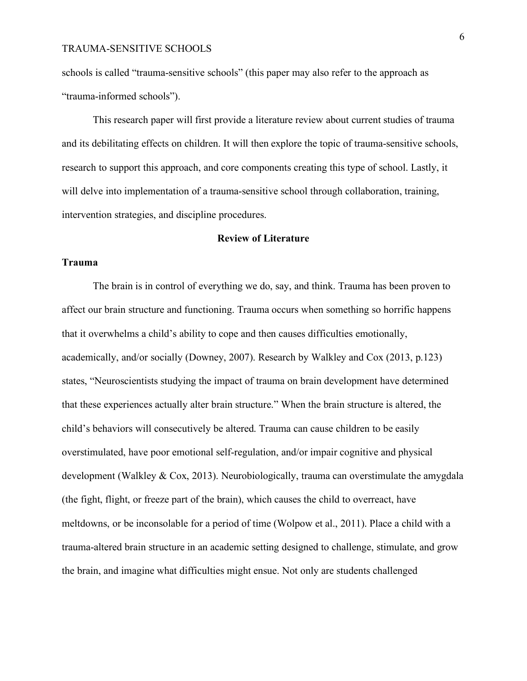schools is called "trauma-sensitive schools" (this paper may also refer to the approach as "trauma-informed schools").

This research paper will first provide a literature review about current studies of trauma and its debilitating effects on children. It will then explore the topic of trauma-sensitive schools, research to support this approach, and core components creating this type of school. Lastly, it will delve into implementation of a trauma-sensitive school through collaboration, training, intervention strategies, and discipline procedures.

#### **Review of Literature**

#### **Trauma**

The brain is in control of everything we do, say, and think. Trauma has been proven to affect our brain structure and functioning. Trauma occurs when something so horrific happens that it overwhelms a child's ability to cope and then causes difficulties emotionally, academically, and/or socially (Downey, 2007). Research by Walkley and Cox (2013, p.123) states, "Neuroscientists studying the impact of trauma on brain development have determined that these experiences actually alter brain structure." When the brain structure is altered, the child's behaviors will consecutively be altered. Trauma can cause children to be easily overstimulated, have poor emotional self-regulation, and/or impair cognitive and physical development (Walkley & Cox, 2013). Neurobiologically, trauma can overstimulate the amygdala (the fight, flight, or freeze part of the brain), which causes the child to overreact, have meltdowns, or be inconsolable for a period of time (Wolpow et al., 2011). Place a child with a trauma-altered brain structure in an academic setting designed to challenge, stimulate, and grow the brain, and imagine what difficulties might ensue. Not only are students challenged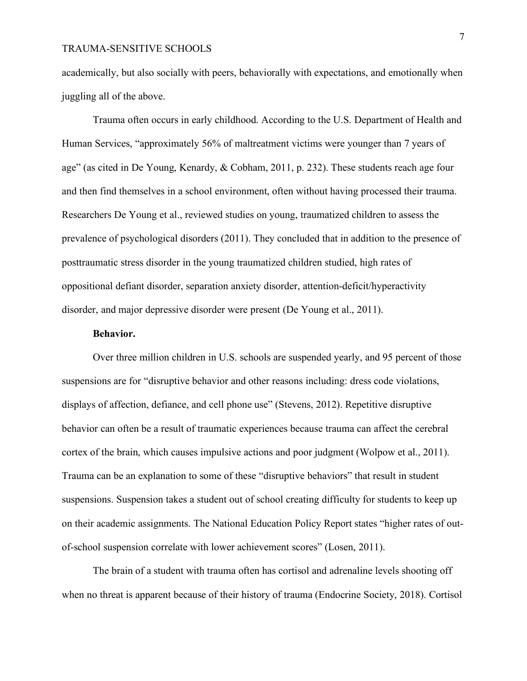academically, but also socially with peers, behaviorally with expectations, and emotionally when juggling all of the above.

Trauma often occurs in early childhood. According to the U.S. Department of Health and Human Services, "approximately 56% of maltreatment victims were younger than 7 years of age" (as cited in De Young, Kenardy, & Cobham, 2011, p. 232). These students reach age four and then find themselves in a school environment, often without having processed their trauma. Researchers De Young et al., reviewed studies on young, traumatized children to assess the prevalence of psychological disorders (2011). They concluded that in addition to the presence of posttraumatic stress disorder in the young traumatized children studied, high rates of oppositional defiant disorder, separation anxiety disorder, attention-deficit/hyperactivity disorder, and major depressive disorder were present (De Young et al., 2011).

#### **Behavior.**

Over three million children in U.S. schools are suspended yearly, and 95 percent of those suspensions are for "disruptive behavior and other reasons including: dress code violations, displays of affection, defiance, and cell phone use" (Stevens, 2012). Repetitive disruptive behavior can often be a result of traumatic experiences because trauma can affect the cerebral cortex of the brain, which causes impulsive actions and poor judgment (Wolpow et al., 2011). Trauma can be an explanation to some of these "disruptive behaviors" that result in student suspensions. Suspension takes a student out of school creating difficulty for students to keep up on their academic assignments. The National Education Policy Report states "higher rates of outof-school suspension correlate with lower achievement scores" (Losen, 2011).

The brain of a student with trauma often has cortisol and adrenaline levels shooting off when no threat is apparent because of their history of trauma (Endocrine Society, 2018). Cortisol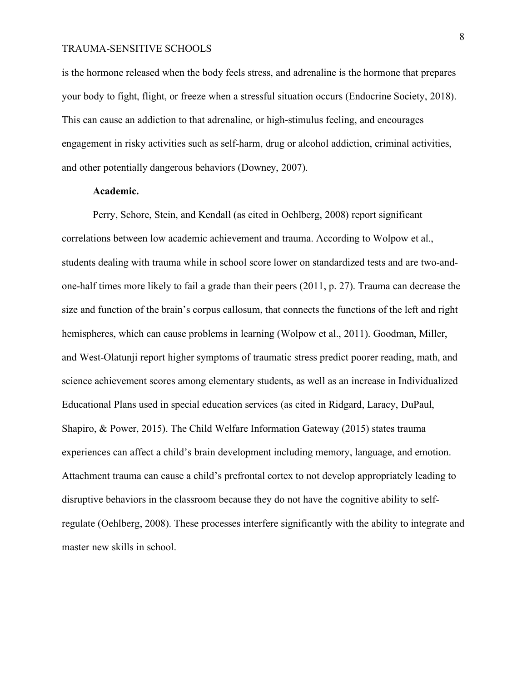is the hormone released when the body feels stress, and adrenaline is the hormone that prepares your body to fight, flight, or freeze when a stressful situation occurs (Endocrine Society, 2018). This can cause an addiction to that adrenaline, or high-stimulus feeling, and encourages engagement in risky activities such as self-harm, drug or alcohol addiction, criminal activities, and other potentially dangerous behaviors (Downey, 2007).

# **Academic.**

Perry, Schore, Stein, and Kendall (as cited in Oehlberg, 2008) report significant correlations between low academic achievement and trauma. According to Wolpow et al., students dealing with trauma while in school score lower on standardized tests and are two-andone-half times more likely to fail a grade than their peers (2011, p. 27). Trauma can decrease the size and function of the brain's corpus callosum, that connects the functions of the left and right hemispheres, which can cause problems in learning (Wolpow et al., 2011). Goodman, Miller, and West-Olatunji report higher symptoms of traumatic stress predict poorer reading, math, and science achievement scores among elementary students, as well as an increase in Individualized Educational Plans used in special education services (as cited in Ridgard, Laracy, DuPaul, Shapiro, & Power, 2015). The Child Welfare Information Gateway (2015) states trauma experiences can affect a child's brain development including memory, language, and emotion. Attachment trauma can cause a child's prefrontal cortex to not develop appropriately leading to disruptive behaviors in the classroom because they do not have the cognitive ability to selfregulate (Oehlberg, 2008). These processes interfere significantly with the ability to integrate and master new skills in school.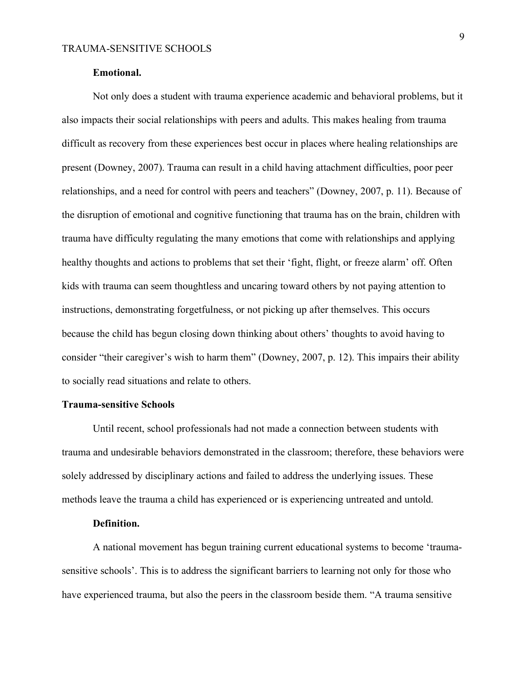#### **Emotional.**

Not only does a student with trauma experience academic and behavioral problems, but it also impacts their social relationships with peers and adults. This makes healing from trauma difficult as recovery from these experiences best occur in places where healing relationships are present (Downey, 2007). Trauma can result in a child having attachment difficulties, poor peer relationships, and a need for control with peers and teachers" (Downey, 2007, p. 11). Because of the disruption of emotional and cognitive functioning that trauma has on the brain, children with trauma have difficulty regulating the many emotions that come with relationships and applying healthy thoughts and actions to problems that set their 'fight, flight, or freeze alarm' off. Often kids with trauma can seem thoughtless and uncaring toward others by not paying attention to instructions, demonstrating forgetfulness, or not picking up after themselves. This occurs because the child has begun closing down thinking about others' thoughts to avoid having to consider "their caregiver's wish to harm them" (Downey, 2007, p. 12). This impairs their ability to socially read situations and relate to others.

#### **Trauma-sensitive Schools**

Until recent, school professionals had not made a connection between students with trauma and undesirable behaviors demonstrated in the classroom; therefore, these behaviors were solely addressed by disciplinary actions and failed to address the underlying issues. These methods leave the trauma a child has experienced or is experiencing untreated and untold.

#### **Definition.**

A national movement has begun training current educational systems to become 'traumasensitive schools'. This is to address the significant barriers to learning not only for those who have experienced trauma, but also the peers in the classroom beside them. "A trauma sensitive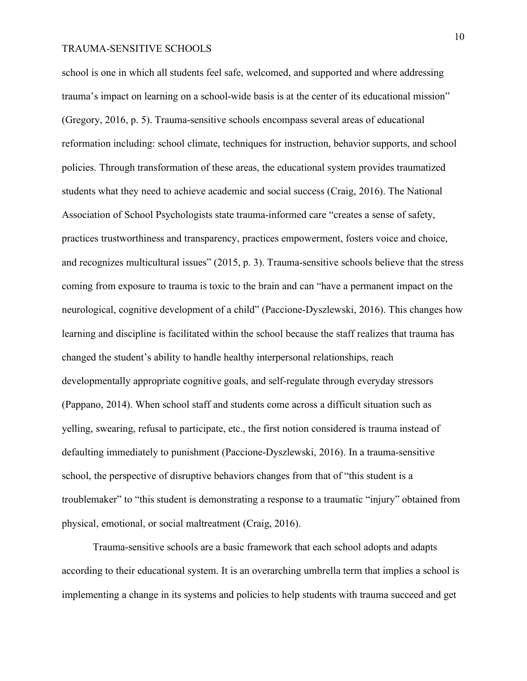school is one in which all students feel safe, welcomed, and supported and where addressing trauma's impact on learning on a school-wide basis is at the center of its educational mission" (Gregory, 2016, p. 5). Trauma-sensitive schools encompass several areas of educational reformation including: school climate, techniques for instruction, behavior supports, and school policies. Through transformation of these areas, the educational system provides traumatized students what they need to achieve academic and social success (Craig, 2016). The National Association of School Psychologists state trauma-informed care "creates a sense of safety, practices trustworthiness and transparency, practices empowerment, fosters voice and choice, and recognizes multicultural issues" (2015, p. 3). Trauma-sensitive schools believe that the stress coming from exposure to trauma is toxic to the brain and can "have a permanent impact on the neurological, cognitive development of a child" (Paccione-Dyszlewski, 2016). This changes how learning and discipline is facilitated within the school because the staff realizes that trauma has changed the student's ability to handle healthy interpersonal relationships, reach developmentally appropriate cognitive goals, and self-regulate through everyday stressors (Pappano, 2014). When school staff and students come across a difficult situation such as yelling, swearing, refusal to participate, etc., the first notion considered is trauma instead of defaulting immediately to punishment (Paccione-Dyszlewski, 2016). In a trauma-sensitive school, the perspective of disruptive behaviors changes from that of "this student is a troublemaker" to "this student is demonstrating a response to a traumatic "injury" obtained from physical, emotional, or social maltreatment (Craig, 2016).

Trauma-sensitive schools are a basic framework that each school adopts and adapts according to their educational system. It is an overarching umbrella term that implies a school is implementing a change in its systems and policies to help students with trauma succeed and get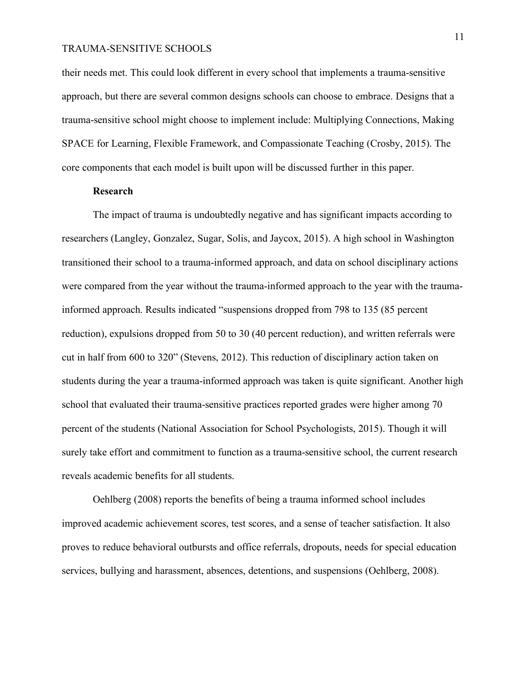their needs met. This could look different in every school that implements a trauma-sensitive approach, but there are several common designs schools can choose to embrace. Designs that a trauma-sensitive school might choose to implement include: Multiplying Connections, Making SPACE for Learning, Flexible Framework, and Compassionate Teaching (Crosby, 2015). The core components that each model is built upon will be discussed further in this paper.

## **Research**

The impact of trauma is undoubtedly negative and has significant impacts according to researchers (Langley, Gonzalez, Sugar, Solis, and Jaycox, 2015). A high school in Washington transitioned their school to a trauma-informed approach, and data on school disciplinary actions were compared from the year without the trauma-informed approach to the year with the traumainformed approach. Results indicated "suspensions dropped from 798 to 135 (85 percent reduction), expulsions dropped from 50 to 30 (40 percent reduction), and written referrals were cut in half from 600 to 320" (Stevens, 2012). This reduction of disciplinary action taken on students during the year a trauma-informed approach was taken is quite significant. Another high school that evaluated their trauma-sensitive practices reported grades were higher among 70 percent of the students (National Association for School Psychologists, 2015). Though it will surely take effort and commitment to function as a trauma-sensitive school, the current research reveals academic benefits for all students.

Oehlberg (2008) reports the benefits of being a trauma informed school includes improved academic achievement scores, test scores, and a sense of teacher satisfaction. It also proves to reduce behavioral outbursts and office referrals, dropouts, needs for special education services, bullying and harassment, absences, detentions, and suspensions (Oehlberg, 2008).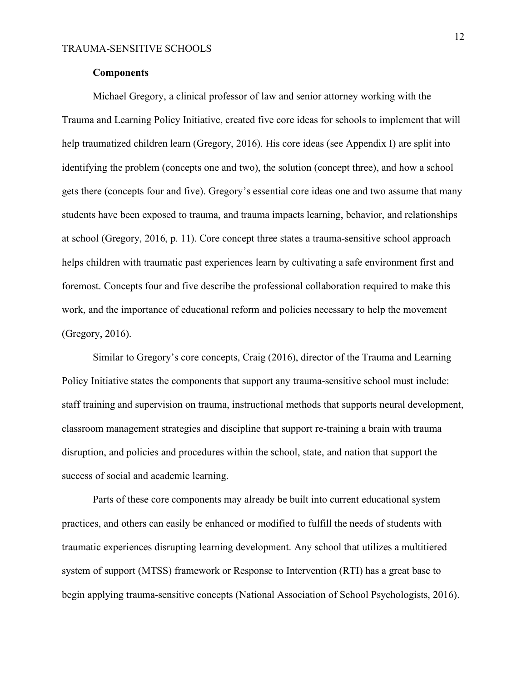#### **Components**

Michael Gregory, a clinical professor of law and senior attorney working with the Trauma and Learning Policy Initiative, created five core ideas for schools to implement that will help traumatized children learn (Gregory, 2016). His core ideas (see Appendix I) are split into identifying the problem (concepts one and two), the solution (concept three), and how a school gets there (concepts four and five). Gregory's essential core ideas one and two assume that many students have been exposed to trauma, and trauma impacts learning, behavior, and relationships at school (Gregory, 2016, p. 11). Core concept three states a trauma-sensitive school approach helps children with traumatic past experiences learn by cultivating a safe environment first and foremost. Concepts four and five describe the professional collaboration required to make this work, and the importance of educational reform and policies necessary to help the movement (Gregory, 2016).

Similar to Gregory's core concepts, Craig (2016), director of the Trauma and Learning Policy Initiative states the components that support any trauma-sensitive school must include: staff training and supervision on trauma, instructional methods that supports neural development, classroom management strategies and discipline that support re-training a brain with trauma disruption, and policies and procedures within the school, state, and nation that support the success of social and academic learning.

Parts of these core components may already be built into current educational system practices, and others can easily be enhanced or modified to fulfill the needs of students with traumatic experiences disrupting learning development. Any school that utilizes a multitiered system of support (MTSS) framework or Response to Intervention (RTI) has a great base to begin applying trauma-sensitive concepts (National Association of School Psychologists, 2016).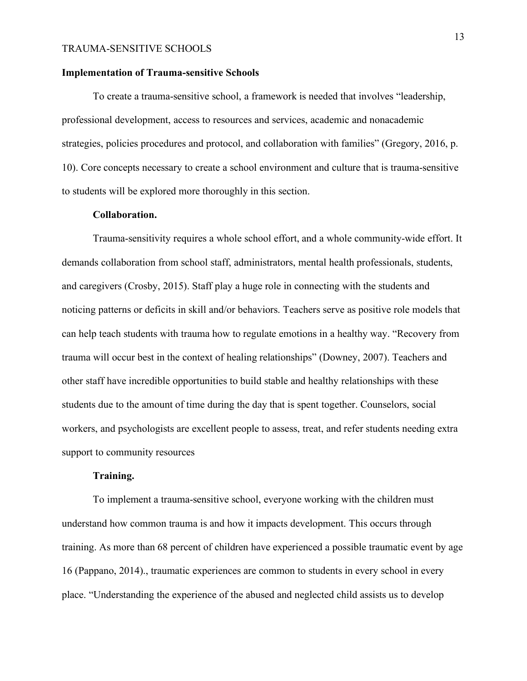#### **Implementation of Trauma-sensitive Schools**

To create a trauma-sensitive school, a framework is needed that involves "leadership, professional development, access to resources and services, academic and nonacademic strategies, policies procedures and protocol, and collaboration with families" (Gregory, 2016, p. 10). Core concepts necessary to create a school environment and culture that is trauma-sensitive to students will be explored more thoroughly in this section.

#### **Collaboration.**

Trauma-sensitivity requires a whole school effort, and a whole community-wide effort. It demands collaboration from school staff, administrators, mental health professionals, students, and caregivers (Crosby, 2015). Staff play a huge role in connecting with the students and noticing patterns or deficits in skill and/or behaviors. Teachers serve as positive role models that can help teach students with trauma how to regulate emotions in a healthy way. "Recovery from trauma will occur best in the context of healing relationships" (Downey, 2007). Teachers and other staff have incredible opportunities to build stable and healthy relationships with these students due to the amount of time during the day that is spent together. Counselors, social workers, and psychologists are excellent people to assess, treat, and refer students needing extra support to community resources

#### **Training.**

To implement a trauma-sensitive school, everyone working with the children must understand how common trauma is and how it impacts development. This occurs through training. As more than 68 percent of children have experienced a possible traumatic event by age 16 (Pappano, 2014)., traumatic experiences are common to students in every school in every place. "Understanding the experience of the abused and neglected child assists us to develop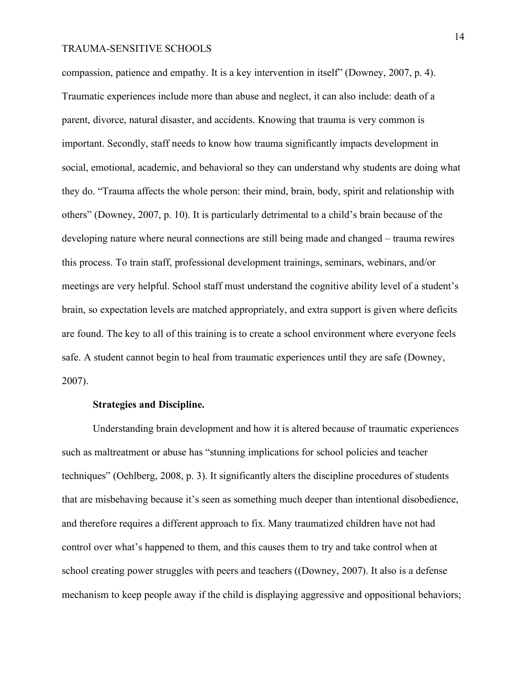compassion, patience and empathy. It is a key intervention in itself" (Downey, 2007, p. 4). Traumatic experiences include more than abuse and neglect, it can also include: death of a parent, divorce, natural disaster, and accidents. Knowing that trauma is very common is important. Secondly, staff needs to know how trauma significantly impacts development in social, emotional, academic, and behavioral so they can understand why students are doing what they do. "Trauma affects the whole person: their mind, brain, body, spirit and relationship with others" (Downey, 2007, p. 10). It is particularly detrimental to a child's brain because of the developing nature where neural connections are still being made and changed – trauma rewires this process. To train staff, professional development trainings, seminars, webinars, and/or meetings are very helpful. School staff must understand the cognitive ability level of a student's brain, so expectation levels are matched appropriately, and extra support is given where deficits are found. The key to all of this training is to create a school environment where everyone feels safe. A student cannot begin to heal from traumatic experiences until they are safe (Downey, 2007).

#### **Strategies and Discipline.**

Understanding brain development and how it is altered because of traumatic experiences such as maltreatment or abuse has "stunning implications for school policies and teacher techniques" (Oehlberg, 2008, p. 3). It significantly alters the discipline procedures of students that are misbehaving because it's seen as something much deeper than intentional disobedience, and therefore requires a different approach to fix. Many traumatized children have not had control over what's happened to them, and this causes them to try and take control when at school creating power struggles with peers and teachers ((Downey, 2007). It also is a defense mechanism to keep people away if the child is displaying aggressive and oppositional behaviors;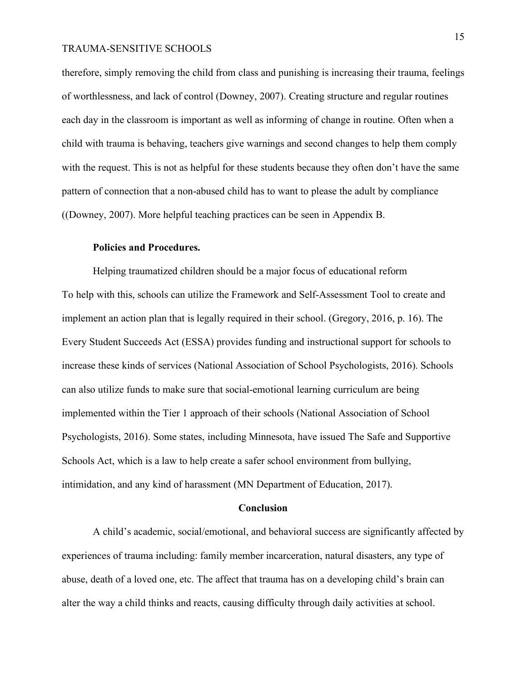therefore, simply removing the child from class and punishing is increasing their trauma, feelings of worthlessness, and lack of control (Downey, 2007). Creating structure and regular routines each day in the classroom is important as well as informing of change in routine. Often when a child with trauma is behaving, teachers give warnings and second changes to help them comply with the request. This is not as helpful for these students because they often don't have the same pattern of connection that a non-abused child has to want to please the adult by compliance ((Downey, 2007). More helpful teaching practices can be seen in Appendix B.

#### **Policies and Procedures.**

Helping traumatized children should be a major focus of educational reform To help with this, schools can utilize the Framework and Self-Assessment Tool to create and implement an action plan that is legally required in their school. (Gregory, 2016, p. 16). The Every Student Succeeds Act (ESSA) provides funding and instructional support for schools to increase these kinds of services (National Association of School Psychologists, 2016). Schools can also utilize funds to make sure that social-emotional learning curriculum are being implemented within the Tier 1 approach of their schools (National Association of School Psychologists, 2016). Some states, including Minnesota, have issued The Safe and Supportive Schools Act, which is a law to help create a safer school environment from bullying, intimidation, and any kind of harassment (MN Department of Education, 2017).

#### **Conclusion**

A child's academic, social/emotional, and behavioral success are significantly affected by experiences of trauma including: family member incarceration, natural disasters, any type of abuse, death of a loved one, etc. The affect that trauma has on a developing child's brain can alter the way a child thinks and reacts, causing difficulty through daily activities at school.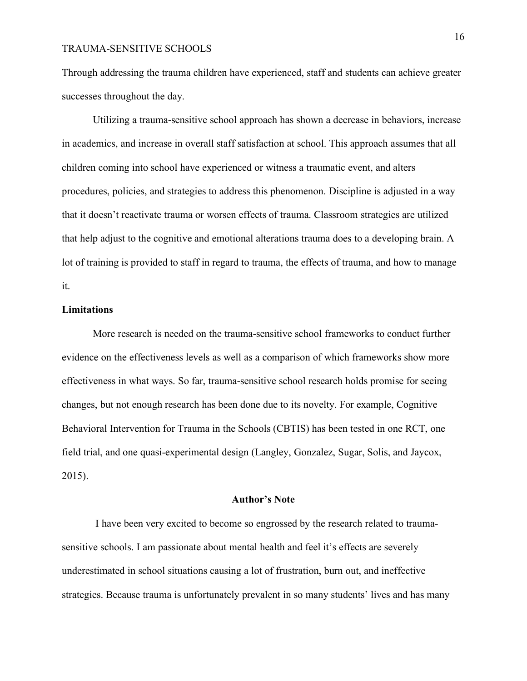Through addressing the trauma children have experienced, staff and students can achieve greater successes throughout the day.

Utilizing a trauma-sensitive school approach has shown a decrease in behaviors, increase in academics, and increase in overall staff satisfaction at school. This approach assumes that all children coming into school have experienced or witness a traumatic event, and alters procedures, policies, and strategies to address this phenomenon. Discipline is adjusted in a way that it doesn't reactivate trauma or worsen effects of trauma. Classroom strategies are utilized that help adjust to the cognitive and emotional alterations trauma does to a developing brain. A lot of training is provided to staff in regard to trauma, the effects of trauma, and how to manage it.

# **Limitations**

More research is needed on the trauma-sensitive school frameworks to conduct further evidence on the effectiveness levels as well as a comparison of which frameworks show more effectiveness in what ways. So far, trauma-sensitive school research holds promise for seeing changes, but not enough research has been done due to its novelty. For example, Cognitive Behavioral Intervention for Trauma in the Schools (CBTIS) has been tested in one RCT, one field trial, and one quasi-experimental design (Langley, Gonzalez, Sugar, Solis, and Jaycox, 2015).

#### **Author's Note**

I have been very excited to become so engrossed by the research related to traumasensitive schools. I am passionate about mental health and feel it's effects are severely underestimated in school situations causing a lot of frustration, burn out, and ineffective strategies. Because trauma is unfortunately prevalent in so many students' lives and has many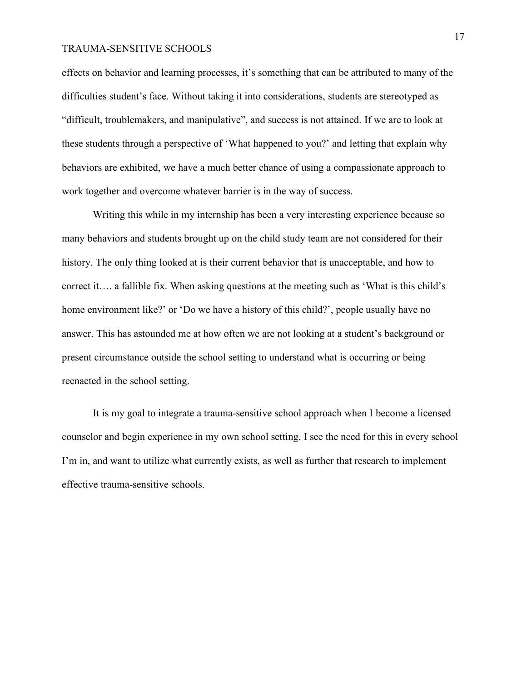effects on behavior and learning processes, it's something that can be attributed to many of the difficulties student's face. Without taking it into considerations, students are stereotyped as "difficult, troublemakers, and manipulative", and success is not attained. If we are to look at these students through a perspective of 'What happened to you?' and letting that explain why behaviors are exhibited, we have a much better chance of using a compassionate approach to work together and overcome whatever barrier is in the way of success.

Writing this while in my internship has been a very interesting experience because so many behaviors and students brought up on the child study team are not considered for their history. The only thing looked at is their current behavior that is unacceptable, and how to correct it…. a fallible fix. When asking questions at the meeting such as 'What is this child's home environment like?' or 'Do we have a history of this child?', people usually have no answer. This has astounded me at how often we are not looking at a student's background or present circumstance outside the school setting to understand what is occurring or being reenacted in the school setting.

It is my goal to integrate a trauma-sensitive school approach when I become a licensed counselor and begin experience in my own school setting. I see the need for this in every school I'm in, and want to utilize what currently exists, as well as further that research to implement effective trauma-sensitive schools.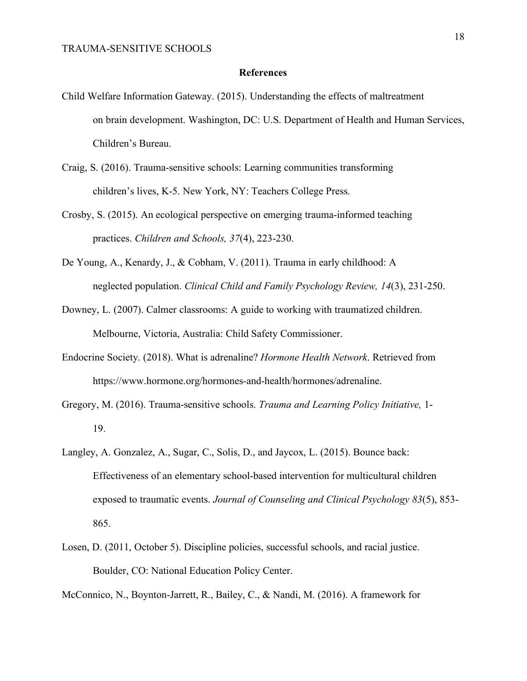#### **References**

- Child Welfare Information Gateway. (2015). Understanding the effects of maltreatment on brain development. Washington, DC: U.S. Department of Health and Human Services, Children's Bureau.
- Craig, S. (2016). Trauma-sensitive schools: Learning communities transforming children's lives, K-5. New York, NY: Teachers College Press.
- Crosby, S. (2015). An ecological perspective on emerging trauma-informed teaching practices. *Children and Schools, 37*(4), 223-230.
- De Young, A., Kenardy, J., & Cobham, V. (2011). Trauma in early childhood: A neglected population. *Clinical Child and Family Psychology Review, 14*(3), 231-250.
- Downey, L. (2007). Calmer classrooms: A guide to working with traumatized children. Melbourne, Victoria, Australia: Child Safety Commissioner.
- Endocrine Society. (2018). What is adrenaline? *Hormone Health Network*. Retrieved from https://www.hormone.org/hormones-and-health/hormones/adrenaline.
- Gregory, M. (2016). Trauma-sensitive schools. *Trauma and Learning Policy Initiative,* 1- 19.
- Langley, A. Gonzalez, A., Sugar, C., Solis, D., and Jaycox, L. (2015). Bounce back: Effectiveness of an elementary school-based intervention for multicultural children exposed to traumatic events. *Journal of Counseling and Clinical Psychology 83*(5), 853- 865.
- Losen, D. (2011, October 5). Discipline policies, successful schools, and racial justice. Boulder, CO: National Education Policy Center.
- McConnico, N., Boynton-Jarrett, R., Bailey, C., & Nandi, M. (2016). A framework for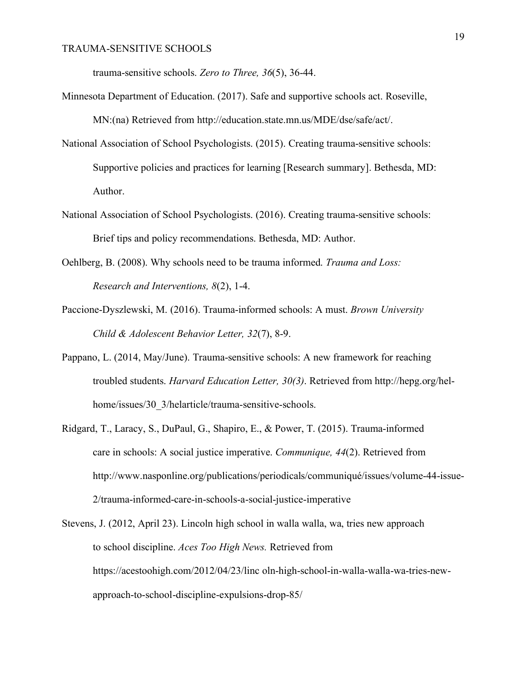trauma-sensitive schools. *Zero to Three, 36*(5), 36-44.

- Minnesota Department of Education. (2017). Safe and supportive schools act. Roseville, MN:(na) Retrieved from http://education.state.mn.us/MDE/dse/safe/act/.
- National Association of School Psychologists. (2015). Creating trauma-sensitive schools: Supportive policies and practices for learning [Research summary]. Bethesda, MD: Author.
- National Association of School Psychologists. (2016). Creating trauma-sensitive schools: Brief tips and policy recommendations. Bethesda, MD: Author.
- Oehlberg, B. (2008). Why schools need to be trauma informed. *Trauma and Loss: Research and Interventions, 8*(2), 1-4.
- Paccione-Dyszlewski, M. (2016). Trauma-informed schools: A must. *Brown University Child & Adolescent Behavior Letter, 32*(7), 8-9.
- Pappano, L. (2014, May/June). Trauma-sensitive schools: A new framework for reaching troubled students. *Harvard Education Letter, 30(3)*. Retrieved from http://hepg.org/helhome/issues/30\_3/helarticle/trauma-sensitive-schools.
- Ridgard, T., Laracy, S., DuPaul, G., Shapiro, E., & Power, T. (2015). Trauma-informed care in schools: A social justice imperative. *Communique, 44*(2). Retrieved from http://www.nasponline.org/publications/periodicals/communiqué/issues/volume-44-issue-2/trauma-informed-care-in-schools-a-social-justice-imperative
- Stevens, J. (2012, April 23). Lincoln high school in walla walla, wa, tries new approach to school discipline. *Aces Too High News.* Retrieved from https://acestoohigh.com/2012/04/23/linc oln-high-school-in-walla-walla-wa-tries-newapproach-to-school-discipline-expulsions-drop-85/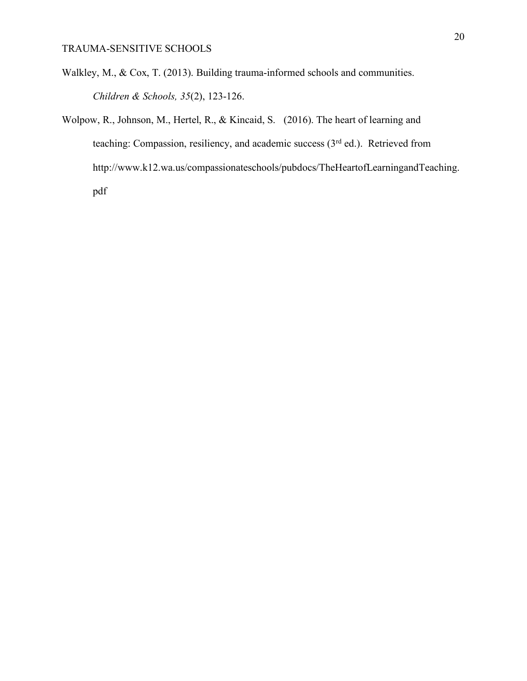- Walkley, M., & Cox, T. (2013). Building trauma-informed schools and communities. *Children & Schools, 35*(2), 123-126.
- Wolpow, R., Johnson, M., Hertel, R., & Kincaid, S. (2016). The heart of learning and teaching: Compassion, resiliency, and academic success (3<sup>rd</sup> ed.). Retrieved from http://www.k12.wa.us/compassionateschools/pubdocs/TheHeartofLearningandTeaching. pdf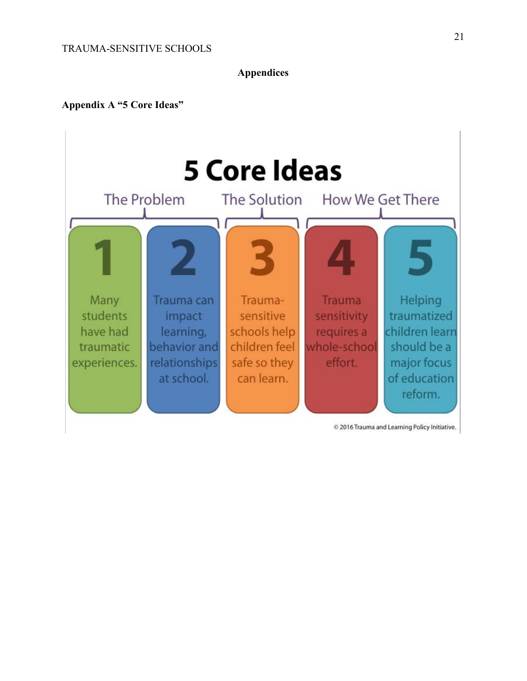**Appendices**

# **Appendix A "5 Core Ideas"**



21